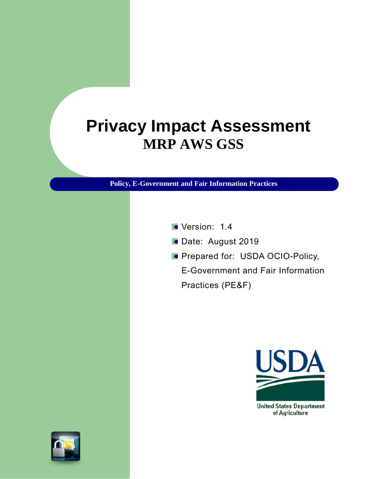# **Privacy Impact Assessment MRP AWS GSS**

**Policy, E-Government and Fair Information Practices**

- Version: 1.4
- Date: August 2019
- **Prepared for: USDA OCIO-Policy,**

E-Government and Fair Information Practices (PE&F)



of Agriculture

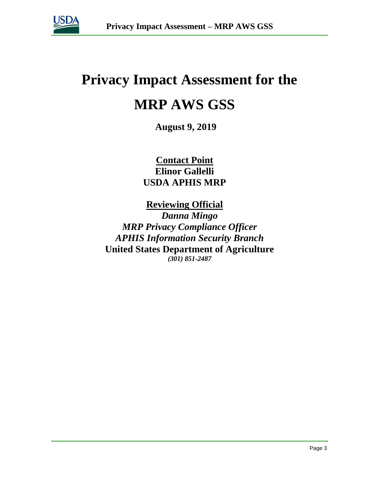

# **Privacy Impact Assessment for the MRP AWS GSS**

**August 9, 2019**

**Contact Point Elinor Gallelli USDA APHIS MRP**

**Reviewing Official**  *Danna Mingo MRP Privacy Compliance Officer APHIS Information Security Branch* **United States Department of Agriculture** *(301) 851-2487*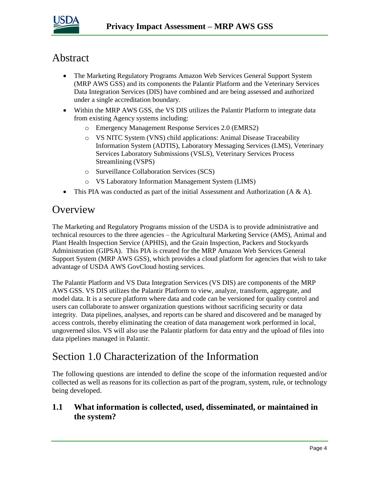

# Abstract

- The Marketing Regulatory Programs Amazon Web Services General Support System (MRP AWS GSS) and its components the Palantir Platform and the Veterinary Services Data Integration Services (DIS) have combined and are being assessed and authorized under a single accreditation boundary.
- Within the MRP AWS GSS, the VS DIS utilizes the Palantir Platform to integrate data from existing Agency systems including:
	- o Emergency Management Response Services 2.0 (EMRS2)
	- o VS NITC System (VNS) child applications: Animal Disease Traceability Information System (ADTIS), Laboratory Messaging Services (LMS), Veterinary Services Laboratory Submissions (VSLS), Veterinary Services Process Streamlining (VSPS)
	- o Surveillance Collaboration Services (SCS)
	- o VS Laboratory Information Management System (LIMS)
- This PIA was conducted as part of the initial Assessment and Authorization  $(A \& A)$ .

### **Overview**

The Marketing and Regulatory Programs mission of the USDA is to provide administrative and technical resources to the three agencies – the Agricultural Marketing Service (AMS), Animal and Plant Health Inspection Service (APHIS), and the Grain Inspection, Packers and Stockyards Administration (GIPSA). This PIA is created for the MRP Amazon Web Services General Support System (MRP AWS GSS), which provides a cloud platform for agencies that wish to take advantage of USDA AWS GovCloud hosting services.

The Palantir Platform and VS Data Integration Services (VS DIS) are components of the MRP AWS GSS. VS DIS utilizes the Palantir Platform to view, analyze, transform, aggregate, and model data. It is a secure platform where data and code can be versioned for quality control and users can collaborate to answer organization questions without sacrificing security or data integrity. Data pipelines, analyses, and reports can be shared and discovered and be managed by access controls, thereby eliminating the creation of data management work performed in local, ungoverned silos. VS will also use the Palantir platform for data entry and the upload of files into data pipelines managed in Palantir.

# Section 1.0 Characterization of the Information

The following questions are intended to define the scope of the information requested and/or collected as well as reasons for its collection as part of the program, system, rule, or technology being developed.

### **1.1 What information is collected, used, disseminated, or maintained in the system?**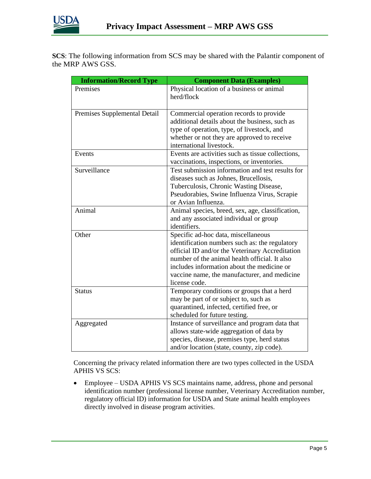

**SCS**: The following information from SCS may be shared with the Palantir component of the MRP AWS GSS.

| <b>Information/Record Type</b> | <b>Component Data (Examples)</b>                                                                                                                                                                                                                                                                         |
|--------------------------------|----------------------------------------------------------------------------------------------------------------------------------------------------------------------------------------------------------------------------------------------------------------------------------------------------------|
| Premises                       | Physical location of a business or animal<br>herd/flock                                                                                                                                                                                                                                                  |
| Premises Supplemental Detail   | Commercial operation records to provide<br>additional details about the business, such as<br>type of operation, type, of livestock, and<br>whether or not they are approved to receive<br>international livestock.                                                                                       |
| Events                         | Events are activities such as tissue collections,<br>vaccinations, inspections, or inventories.                                                                                                                                                                                                          |
| Surveillance                   | Test submission information and test results for<br>diseases such as Johnes, Brucellosis,<br>Tuberculosis, Chronic Wasting Disease,<br>Pseudorabies, Swine Influenza Virus, Scrapie<br>or Avian Influenza.                                                                                               |
| Animal                         | Animal species, breed, sex, age, classification,<br>and any associated individual or group<br>identifiers.                                                                                                                                                                                               |
| Other                          | Specific ad-hoc data, miscellaneous<br>identification numbers such as: the regulatory<br>official ID and/or the Veterinary Accreditation<br>number of the animal health official. It also<br>includes information about the medicine or<br>vaccine name, the manufacturer, and medicine<br>license code. |
| <b>Status</b>                  | Temporary conditions or groups that a herd<br>may be part of or subject to, such as<br>quarantined, infected, certified free, or<br>scheduled for future testing.                                                                                                                                        |
| Aggregated                     | Instance of surveillance and program data that<br>allows state-wide aggregation of data by<br>species, disease, premises type, herd status<br>and/or location (state, county, zip code).                                                                                                                 |

Concerning the privacy related information there are two types collected in the USDA APHIS VS SCS:

• Employee – USDA APHIS VS SCS maintains name, address, phone and personal identification number (professional license number, Veterinary Accreditation number, regulatory official ID) information for USDA and State animal health employees directly involved in disease program activities.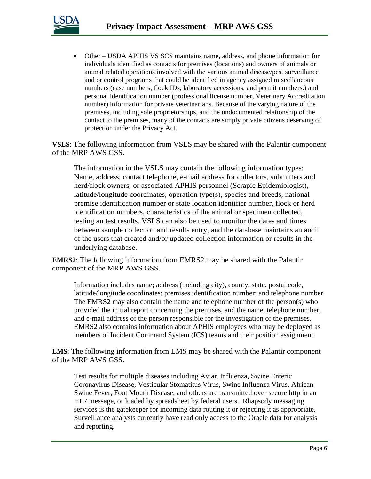

• Other – USDA APHIS VS SCS maintains name, address, and phone information for individuals identified as contacts for premises (locations) and owners of animals or animal related operations involved with the various animal disease/pest surveillance and or control programs that could be identified in agency assigned miscellaneous numbers (case numbers, flock IDs, laboratory accessions, and permit numbers.) and personal identification number (professional license number, Veterinary Accreditation number) information for private veterinarians. Because of the varying nature of the premises, including sole proprietorships, and the undocumented relationship of the contact to the premises, many of the contacts are simply private citizens deserving of protection under the Privacy Act.

**VSLS**: The following information from VSLS may be shared with the Palantir component of the MRP AWS GSS.

The information in the VSLS may contain the following information types: Name, address, contact telephone, e-mail address for collectors, submitters and herd/flock owners, or associated APHIS personnel (Scrapie Epidemiologist), latitude/longitude coordinates, operation type(s), species and breeds, national premise identification number or state location identifier number, flock or herd identification numbers, characteristics of the animal or specimen collected, testing an test results. VSLS can also be used to monitor the dates and times between sample collection and results entry, and the database maintains an audit of the users that created and/or updated collection information or results in the underlying database.

**EMRS2**: The following information from EMRS2 may be shared with the Palantir component of the MRP AWS GSS.

Information includes name; address (including city), county, state, postal code, latitude/longitude coordinates; premises identification number; and telephone number. The EMRS2 may also contain the name and telephone number of the person(s) who provided the initial report concerning the premises, and the name, telephone number, and e-mail address of the person responsible for the investigation of the premises. EMRS2 also contains information about APHIS employees who may be deployed as members of Incident Command System (ICS) teams and their position assignment.

**LMS**: The following information from LMS may be shared with the Palantir component of the MRP AWS GSS.

Test results for multiple diseases including Avian Influenza, Swine Enteric Coronavirus Disease, Vesticular Stomatitus Virus, Swine Influenza Virus, African Swine Fever, Foot Mouth Disease, and others are transmitted over secure http in an HL7 message, or loaded by spreadsheet by federal users. Rhapsody messaging services is the gatekeeper for incoming data routing it or rejecting it as appropriate. Surveillance analysts currently have read only access to the Oracle data for analysis and reporting.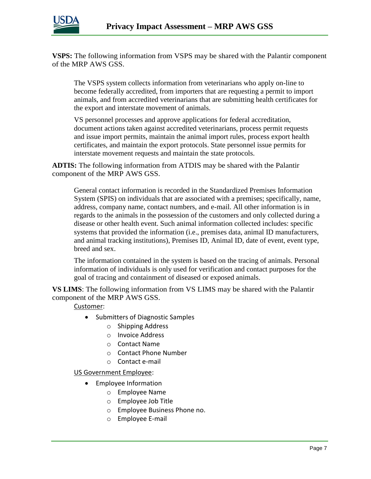

**VSPS:** The following information from VSPS may be shared with the Palantir component of the MRP AWS GSS.

The VSPS system collects information from veterinarians who apply on-line to become federally accredited, from importers that are requesting a permit to import animals, and from accredited veterinarians that are submitting health certificates for the export and interstate movement of animals.

VS personnel processes and approve applications for federal accreditation, document actions taken against accredited veterinarians, process permit requests and issue import permits, maintain the animal import rules, process export health certificates, and maintain the export protocols. State personnel issue permits for interstate movement requests and maintain the state protocols.

**ADTIS:** The following information from ATDIS may be shared with the Palantir component of the MRP AWS GSS.

General contact information is recorded in the Standardized Premises Information System (SPIS) on individuals that are associated with a premises; specifically, name, address, company name, contact numbers, and e-mail. All other information is in regards to the animals in the possession of the customers and only collected during a disease or other health event. Such animal information collected includes: specific systems that provided the information (i.e., premises data, animal ID manufacturers, and animal tracking institutions), Premises ID, Animal ID, date of event, event type, breed and sex.

The information contained in the system is based on the tracing of animals. Personal information of individuals is only used for verification and contact purposes for the goal of tracing and containment of diseased or exposed animals.

**VS LIMS**: The following information from VS LIMS may be shared with the Palantir component of the MRP AWS GSS.

Customer:

- Submitters of Diagnostic Samples
	- o Shipping Address
	- o Invoice Address
	- o Contact Name
	- o Contact Phone Number
	- o Contact e-mail

US Government Employee:

- Employee Information
	- o Employee Name
	- o Employee Job Title
	- o Employee Business Phone no.
	- o Employee E-mail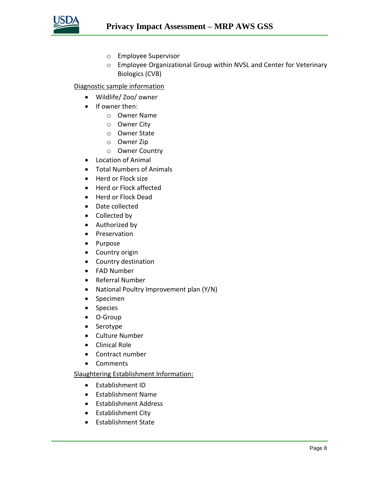

- o Employee Supervisor
- o Employee Organizational Group within NVSL and Center for Veterinary Biologics (CVB)

#### Diagnostic sample information

- Wildlife/ Zoo/ owner
- If owner then:
	- o Owner Name
	- o Owner City
	- o Owner State
	- o Owner Zip
	- o Owner Country
- Location of Animal
- Total Numbers of Animals
- Herd or Flock size
- Herd or Flock affected
- Herd or Flock Dead
- Date collected
- Collected by
- Authorized by
- Preservation
- Purpose
- Country origin
- Country destination
- FAD Number
- Referral Number
- National Poultry Improvement plan (Y/N)
- Specimen
- Species
- O-Group
- Serotype
- Culture Number
- Clinical Role
- Contract number
- Comments

#### Slaughtering Establishment Information:

- Establishment ID
- Establishment Name
- Establishment Address
- Establishment City
- Establishment State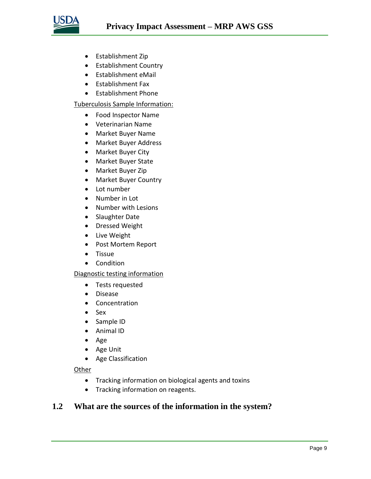

- Establishment Zip
- Establishment Country
- Establishment eMail
- Establishment Fax
- Establishment Phone

#### Tuberculosis Sample Information:

- Food Inspector Name
- Veterinarian Name
- Market Buyer Name
- Market Buyer Address
- Market Buyer City
- Market Buyer State
- Market Buyer Zip
- Market Buyer Country
- Lot number
- Number in Lot
- Number with Lesions
- Slaughter Date
- Dressed Weight
- Live Weight
- Post Mortem Report
- Tissue
- Condition

#### Diagnostic testing information

- Tests requested
- Disease
- Concentration
- Sex
- Sample ID
- Animal ID
- Age
- Age Unit
- Age Classification

#### **Other**

- Tracking information on biological agents and toxins
- Tracking information on reagents.

#### **1.2 What are the sources of the information in the system?**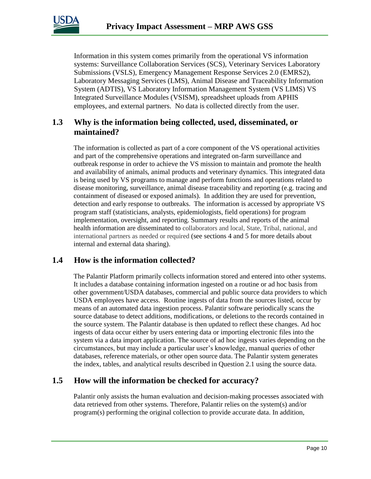

Information in this system comes primarily from the operational VS information systems: Surveillance Collaboration Services (SCS), Veterinary Services Laboratory Submissions (VSLS), Emergency Management Response Services 2.0 (EMRS2), Laboratory Messaging Services (LMS), Animal Disease and Traceability Information System (ADTIS), VS Laboratory Information Management System (VS LIMS) VS Integrated Surveillance Modules (VSISM), spreadsheet uploads from APHIS employees, and external partners. No data is collected directly from the user.

#### **1.3 Why is the information being collected, used, disseminated, or maintained?**

The information is collected as part of a core component of the VS operational activities and part of the comprehensive operations and integrated on-farm surveillance and outbreak response in order to achieve the VS mission to maintain and promote the health and availability of animals, animal products and veterinary dynamics. This integrated data is being used by VS programs to manage and perform functions and operations related to disease monitoring, surveillance, animal disease traceability and reporting (e.g. tracing and containment of diseased or exposed animals). In addition they are used for prevention, detection and early response to outbreaks. The information is accessed by appropriate VS program staff (statisticians, analysts, epidemiologists, field operations) for program implementation, oversight, and reporting. Summary results and reports of the animal health information are disseminated to collaborators and local, State, Tribal, national, and international partners as needed or required (see sections 4 and 5 for more details about internal and external data sharing).

#### **1.4 How is the information collected?**

The Palantir Platform primarily collects information stored and entered into other systems. It includes a database containing information ingested on a routine or ad hoc basis from other government/USDA databases, commercial and public source data providers to which USDA employees have access. Routine ingests of data from the sources listed, occur by means of an automated data ingestion process. Palantir software periodically scans the source database to detect additions, modifications, or deletions to the records contained in the source system. The Palantir database is then updated to reflect these changes. Ad hoc ingests of data occur either by users entering data or importing electronic files into the system via a data import application. The source of ad hoc ingests varies depending on the circumstances, but may include a particular user's knowledge, manual queries of other databases, reference materials, or other open source data. The Palantir system generates the index, tables, and analytical results described in Question 2.1 using the source data.

### **1.5 How will the information be checked for accuracy?**

Palantir only assists the human evaluation and decision-making processes associated with data retrieved from other systems. Therefore, Palantir relies on the system(s) and/or program(s) performing the original collection to provide accurate data. In addition,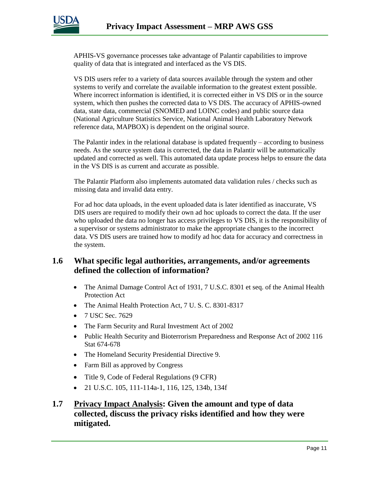

APHIS-VS governance processes take advantage of Palantir capabilities to improve quality of data that is integrated and interfaced as the VS DIS.

VS DIS users refer to a variety of data sources available through the system and other systems to verify and correlate the available information to the greatest extent possible. Where incorrect information is identified, it is corrected either in VS DIS or in the source system, which then pushes the corrected data to VS DIS. The accuracy of APHIS-owned data, state data, commercial (SNOMED and LOINC codes) and public source data (National Agriculture Statistics Service, National Animal Health Laboratory Network reference data, MAPBOX) is dependent on the original source.

The Palantir index in the relational database is updated frequently  $-$  according to business needs. As the source system data is corrected, the data in Palantir will be automatically updated and corrected as well. This automated data update process helps to ensure the data in the VS DIS is as current and accurate as possible.

The Palantir Platform also implements automated data validation rules / checks such as missing data and invalid data entry.

For ad hoc data uploads, in the event uploaded data is later identified as inaccurate, VS DIS users are required to modify their own ad hoc uploads to correct the data. If the user who uploaded the data no longer has access privileges to VS DIS, it is the responsibility of a supervisor or systems administrator to make the appropriate changes to the incorrect data. VS DIS users are trained how to modify ad hoc data for accuracy and correctness in the system.

#### **1.6 What specific legal authorities, arrangements, and/or agreements defined the collection of information?**

- The Animal Damage Control Act of 1931, 7 U.S.C. 8301 et seq. of the Animal Health Protection Act
- The Animal Health Protection Act, 7 U.S.C. 8301-8317
- 7 USC Sec. 7629
- The Farm Security and Rural Investment Act of 2002
- Public Health Security and Bioterrorism Preparedness and Response Act of 2002 116 Stat 674-678
- The Homeland Security Presidential Directive 9.
- Farm Bill as approved by Congress
- Title 9, Code of Federal Regulations (9 CFR)
- 21 U.S.C. 105, 111-114a-1, 116, 125, 134b, 134f

### **1.7 Privacy Impact Analysis: Given the amount and type of data collected, discuss the privacy risks identified and how they were mitigated.**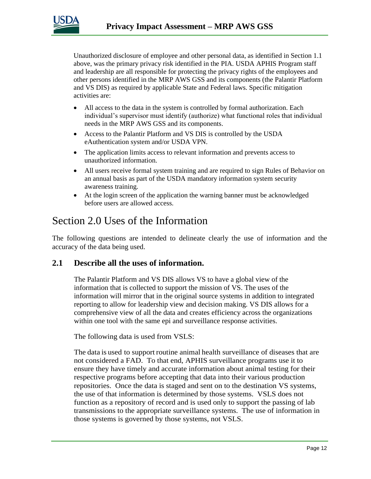

Unauthorized disclosure of employee and other personal data, as identified in Section 1.1 above, was the primary privacy risk identified in the PIA. USDA APHIS Program staff and leadership are all responsible for protecting the privacy rights of the employees and other persons identified in the MRP AWS GSS and its components (the Palantir Platform and VS DIS) as required by applicable State and Federal laws. Specific mitigation activities are:

- All access to the data in the system is controlled by formal authorization. Each individual's supervisor must identify (authorize) what functional roles that individual needs in the MRP AWS GSS and its components.
- Access to the Palantir Platform and VS DIS is controlled by the USDA eAuthentication system and/or USDA VPN.
- The application limits access to relevant information and prevents access to unauthorized information.
- All users receive formal system training and are required to sign Rules of Behavior on an annual basis as part of the USDA mandatory information system security awareness training.
- At the login screen of the application the warning banner must be acknowledged before users are allowed access.

### Section 2.0 Uses of the Information

The following questions are intended to delineate clearly the use of information and the accuracy of the data being used.

#### **2.1 Describe all the uses of information.**

The Palantir Platform and VS DIS allows VS to have a global view of the information that is collected to support the mission of VS. The uses of the information will mirror that in the original source systems in addition to integrated reporting to allow for leadership view and decision making. VS DIS allows for a comprehensive view of all the data and creates efficiency across the organizations within one tool with the same epi and surveillance response activities.

The following data is used from VSLS:

The data is used to support routine animal health surveillance of diseases that are not considered a FAD. To that end, APHIS surveillance programs use it to ensure they have timely and accurate information about animal testing for their respective programs before accepting that data into their various production repositories. Once the data is staged and sent on to the destination VS systems, the use of that information is determined by those systems. VSLS does not function as a repository of record and is used only to support the passing of lab transmissions to the appropriate surveillance systems. The use of information in those systems is governed by those systems, not VSLS.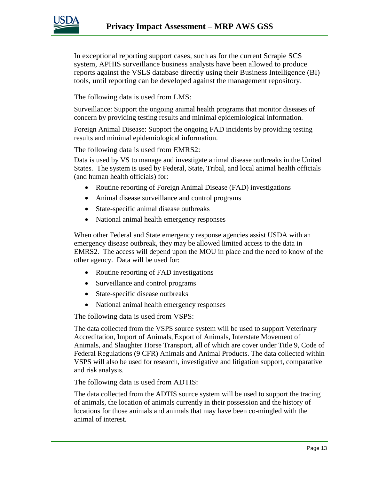

In exceptional reporting support cases, such as for the current Scrapie SCS system, APHIS surveillance business analysts have been allowed to produce reports against the VSLS database directly using their Business Intelligence (BI) tools, until reporting can be developed against the management repository.

The following data is used from LMS:

Surveillance: Support the ongoing animal health programs that monitor diseases of concern by providing testing results and minimal epidemiological information.

Foreign Animal Disease: Support the ongoing FAD incidents by providing testing results and minimal epidemiological information.

The following data is used from EMRS2:

Data is used by VS to manage and investigate animal disease outbreaks in the United States. The system is used by Federal, State, Tribal, and local animal health officials (and human health officials) for:

- Routine reporting of Foreign Animal Disease (FAD) investigations
- Animal disease surveillance and control programs
- State-specific animal disease outbreaks
- National animal health emergency responses

When other Federal and State emergency response agencies assist USDA with an emergency disease outbreak, they may be allowed limited access to the data in EMRS2. The access will depend upon the MOU in place and the need to know of the other agency. Data will be used for:

- Routine reporting of FAD investigations
- Surveillance and control programs
- State-specific disease outbreaks
- National animal health emergency responses

The following data is used from VSPS:

The data collected from the VSPS source system will be used to support Veterinary Accreditation, Import of Animals, Export of Animals, Interstate Movement of Animals, and Slaughter Horse Transport, all of which are cover under Title 9, Code of Federal Regulations (9 CFR) Animals and Animal Products. The data collected within VSPS will also be used for research, investigative and litigation support, comparative and risk analysis.

The following data is used from ADTIS:

The data collected from the ADTIS source system will be used to support the tracing of animals, the location of animals currently in their possession and the history of locations for those animals and animals that may have been co-mingled with the animal of interest.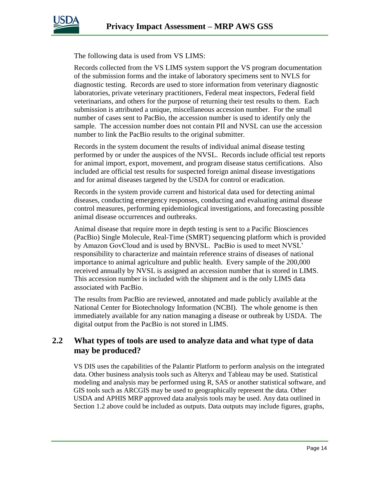

The following data is used from VS LIMS:

Records collected from the VS LIMS system support the VS program documentation of the submission forms and the intake of laboratory specimens sent to NVLS for diagnostic testing. Records are used to store information from veterinary diagnostic laboratories, private veterinary practitioners, Federal meat inspectors, Federal field veterinarians, and others for the purpose of returning their test results to them. Each submission is attributed a unique, miscellaneous accession number. For the small number of cases sent to PacBio, the accession number is used to identify only the sample. The accession number does not contain PII and NVSL can use the accession number to link the PacBio results to the original submitter.

Records in the system document the results of individual animal disease testing performed by or under the auspices of the NVSL. Records include official test reports for animal import, export, movement, and program disease status certifications. Also included are official test results for suspected foreign animal disease investigations and for animal diseases targeted by the USDA for control or eradication.

Records in the system provide current and historical data used for detecting animal diseases, conducting emergency responses, conducting and evaluating animal disease control measures, performing epidemiological investigations, and forecasting possible animal disease occurrences and outbreaks.

Animal disease that require more in depth testing is sent to a Pacific Biosciences (PacBio) Single Molecule, Real-Time (SMRT) sequencing platform which is provided by Amazon GovCloud and is used by BNVSL. PacBio is used to meet NVSL' responsibility to characterize and maintain reference strains of diseases of national importance to animal agriculture and public health. Every sample of the 200,000 received annually by NVSL is assigned an accession number that is stored in LIMS. This accession number is included with the shipment and is the only LIMS data associated with PacBio.

The results from PacBio are reviewed, annotated and made publicly available at the National Center for Biotechnology Information (NCBI). The whole genome is then immediately available for any nation managing a disease or outbreak by USDA. The digital output from the PacBio is not stored in LIMS.

#### **2.2 What types of tools are used to analyze data and what type of data may be produced?**

VS DIS uses the capabilities of the Palantir Platform to perform analysis on the integrated data. Other business analysis tools such as Alteryx and Tableau may be used. Statistical modeling and analysis may be performed using R, SAS or another statistical software, and GIS tools such as ARCGIS may be used to geographically represent the data. Other USDA and APHIS MRP approved data analysis tools may be used. Any data outlined in Section 1.2 above could be included as outputs. Data outputs may include figures, graphs,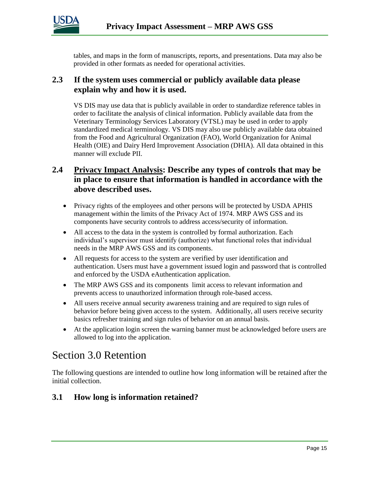

tables, and maps in the form of manuscripts, reports, and presentations. Data may also be provided in other formats as needed for operational activities.

#### **2.3 If the system uses commercial or publicly available data please explain why and how it is used.**

VS DIS may use data that is publicly available in order to standardize reference tables in order to facilitate the analysis of clinical information. Publicly available data from the Veterinary Terminology Services Laboratory (VTSL) may be used in order to apply standardized medical terminology. VS DIS may also use publicly available data obtained from the Food and Agricultural Organization (FAO), World Organization for Animal Health (OIE) and Dairy Herd Improvement Association (DHIA). All data obtained in this manner will exclude PII.

#### **2.4 Privacy Impact Analysis: Describe any types of controls that may be in place to ensure that information is handled in accordance with the above described uses.**

- Privacy rights of the employees and other persons will be protected by USDA APHIS management within the limits of the Privacy Act of 1974. MRP AWS GSS and its components have security controls to address access/security of information.
- All access to the data in the system is controlled by formal authorization. Each individual's supervisor must identify (authorize) what functional roles that individual needs in the MRP AWS GSS and its components.
- All requests for access to the system are verified by user identification and authentication. Users must have a government issued login and password that is controlled and enforced by the USDA eAuthentication application.
- The MRP AWS GSS and its components limit access to relevant information and prevents access to unauthorized information through role-based access.
- All users receive annual security awareness training and are required to sign rules of behavior before being given access to the system. Additionally, all users receive security basics refresher training and sign rules of behavior on an annual basis.
- At the application login screen the warning banner must be acknowledged before users are allowed to log into the application.

# Section 3.0 Retention

The following questions are intended to outline how long information will be retained after the initial collection.

#### **3.1 How long is information retained?**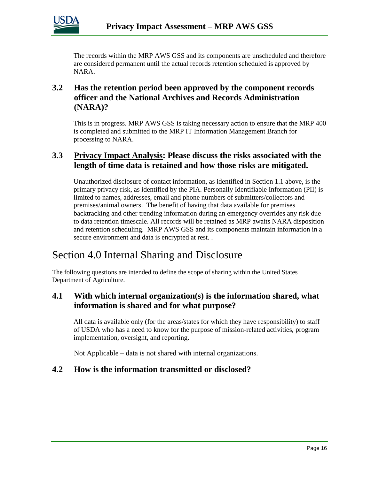

The records within the MRP AWS GSS and its components are unscheduled and therefore are considered permanent until the actual records retention scheduled is approved by NARA.

### **3.2 Has the retention period been approved by the component records officer and the National Archives and Records Administration (NARA)?**

This is in progress. MRP AWS GSS is taking necessary action to ensure that the MRP 400 is completed and submitted to the MRP IT Information Management Branch for processing to NARA.

### **3.3 Privacy Impact Analysis: Please discuss the risks associated with the length of time data is retained and how those risks are mitigated.**

Unauthorized disclosure of contact information, as identified in Section 1.1 above, is the primary privacy risk, as identified by the PIA. Personally Identifiable Information (PII) is limited to names, addresses, email and phone numbers of submitters/collectors and premises/animal owners. The benefit of having that data available for premises backtracking and other trending information during an emergency overrides any risk due to data retention timescale. All records will be retained as MRP awaits NARA disposition and retention scheduling. MRP AWS GSS and its components maintain information in a secure environment and data is encrypted at rest. .

# Section 4.0 Internal Sharing and Disclosure

The following questions are intended to define the scope of sharing within the United States Department of Agriculture.

#### **4.1 With which internal organization(s) is the information shared, what information is shared and for what purpose?**

All data is available only (for the areas/states for which they have responsibility) to staff of USDA who has a need to know for the purpose of mission-related activities, program implementation, oversight, and reporting.

Not Applicable – data is not shared with internal organizations.

#### **4.2 How is the information transmitted or disclosed?**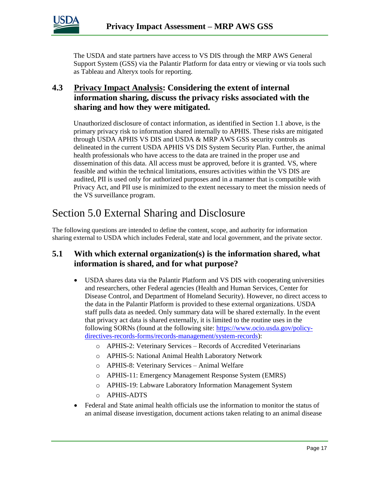

The USDA and state partners have access to VS DIS through the MRP AWS General Support System (GSS) via the Palantir Platform for data entry or viewing or via tools such as Tableau and Alteryx tools for reporting.

### **4.3 Privacy Impact Analysis: Considering the extent of internal information sharing, discuss the privacy risks associated with the sharing and how they were mitigated.**

Unauthorized disclosure of contact information, as identified in Section 1.1 above, is the primary privacy risk to information shared internally to APHIS. These risks are mitigated through USDA APHIS VS DIS and USDA & MRP AWS GSS security controls as delineated in the current USDA APHIS VS DIS System Security Plan. Further, the animal health professionals who have access to the data are trained in the proper use and dissemination of this data. All access must be approved, before it is granted. VS, where feasible and within the technical limitations, ensures activities within the VS DIS are audited, PII is used only for authorized purposes and in a manner that is compatible with Privacy Act, and PII use is minimized to the extent necessary to meet the mission needs of the VS surveillance program.

### Section 5.0 External Sharing and Disclosure

The following questions are intended to define the content, scope, and authority for information sharing external to USDA which includes Federal, state and local government, and the private sector.

### **5.1 With which external organization(s) is the information shared, what information is shared, and for what purpose?**

- USDA shares data via the Palantir Platform and VS DIS with cooperating universities and researchers, other Federal agencies (Health and Human Services, Center for Disease Control, and Department of Homeland Security). However, no direct access to the data in the Palantir Platform is provided to these external organizations. USDA staff pulls data as needed. Only summary data will be shared externally. In the event that privacy act data is shared externally, it is limited to the routine uses in the following SORNs (found at the following site: [https://www.ocio.usda.gov/policy](https://www.ocio.usda.gov/policy-directives-records-forms/records-management/system-records)[directives-records-forms/records-management/system-records\)](https://www.ocio.usda.gov/policy-directives-records-forms/records-management/system-records):
	- o APHIS-2: Veterinary Services Records of Accredited Veterinarians
	- o APHIS-5: National Animal Health Laboratory Network
	- o APHIS-8: Veterinary Services Animal Welfare
	- o APHIS-11: Emergency Management Response System (EMRS)
	- o APHIS-19: Labware Laboratory Information Management System
	- o APHIS-ADTS
- Federal and State animal health officials use the information to monitor the status of an animal disease investigation, document actions taken relating to an animal disease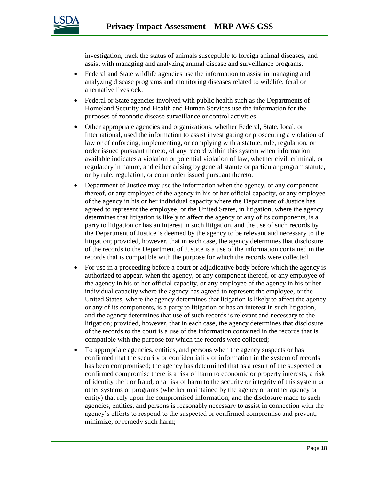

investigation, track the status of animals susceptible to foreign animal diseases, and assist with managing and analyzing animal disease and surveillance programs.

- Federal and State wildlife agencies use the information to assist in managing and analyzing disease programs and monitoring diseases related to wildlife, feral or alternative livestock.
- Federal or State agencies involved with public health such as the Departments of Homeland Security and Health and Human Services use the information for the purposes of zoonotic disease surveillance or control activities.
- Other appropriate agencies and organizations, whether Federal, State, local, or International, used the information to assist investigating or prosecuting a violation of law or of enforcing, implementing, or complying with a statute, rule, regulation, or order issued pursuant thereto, of any record within this system when information available indicates a violation or potential violation of law, whether civil, criminal, or regulatory in nature, and either arising by general statute or particular program statute, or by rule, regulation, or court order issued pursuant thereto.
- Department of Justice may use the information when the agency, or any component thereof, or any employee of the agency in his or her official capacity, or any employee of the agency in his or her individual capacity where the Department of Justice has agreed to represent the employee, or the United States, in litigation, where the agency determines that litigation is likely to affect the agency or any of its components, is a party to litigation or has an interest in such litigation, and the use of such records by the Department of Justice is deemed by the agency to be relevant and necessary to the litigation; provided, however, that in each case, the agency determines that disclosure of the records to the Department of Justice is a use of the information contained in the records that is compatible with the purpose for which the records were collected.
- For use in a proceeding before a court or adjudicative body before which the agency is authorized to appear, when the agency, or any component thereof, or any employee of the agency in his or her official capacity, or any employee of the agency in his or her individual capacity where the agency has agreed to represent the employee, or the United States, where the agency determines that litigation is likely to affect the agency or any of its components, is a party to litigation or has an interest in such litigation, and the agency determines that use of such records is relevant and necessary to the litigation; provided, however, that in each case, the agency determines that disclosure of the records to the court is a use of the information contained in the records that is compatible with the purpose for which the records were collected;
- To appropriate agencies, entities, and persons when the agency suspects or has confirmed that the security or confidentiality of information in the system of records has been compromised; the agency has determined that as a result of the suspected or confirmed compromise there is a risk of harm to economic or property interests, a risk of identity theft or fraud, or a risk of harm to the security or integrity of this system or other systems or programs (whether maintained by the agency or another agency or entity) that rely upon the compromised information; and the disclosure made to such agencies, entities, and persons is reasonably necessary to assist in connection with the agency's efforts to respond to the suspected or confirmed compromise and prevent, minimize, or remedy such harm;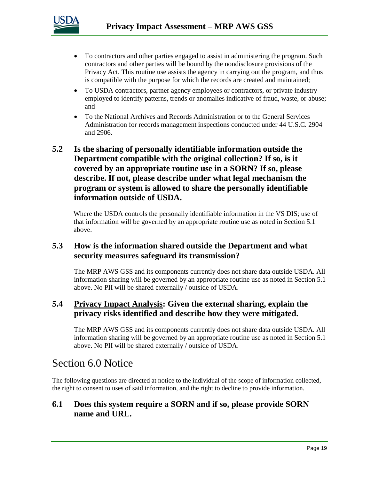

- To contractors and other parties engaged to assist in administering the program. Such contractors and other parties will be bound by the nondisclosure provisions of the Privacy Act. This routine use assists the agency in carrying out the program, and thus is compatible with the purpose for which the records are created and maintained;
- To USDA contractors, partner agency employees or contractors, or private industry employed to identify patterns, trends or anomalies indicative of fraud, waste, or abuse; and
- To the National Archives and Records Administration or to the General Services Administration for records management inspections conducted under 44 U.S.C. 2904 and 2906.

### **5.2 Is the sharing of personally identifiable information outside the Department compatible with the original collection? If so, is it covered by an appropriate routine use in a SORN? If so, please describe. If not, please describe under what legal mechanism the program or system is allowed to share the personally identifiable information outside of USDA.**

Where the USDA controls the personally identifiable information in the VS DIS; use of that information will be governed by an appropriate routine use as noted in Section 5.1 above.

#### **5.3 How is the information shared outside the Department and what security measures safeguard its transmission?**

The MRP AWS GSS and its components currently does not share data outside USDA. All information sharing will be governed by an appropriate routine use as noted in Section 5.1 above. No PII will be shared externally / outside of USDA.

#### **5.4 Privacy Impact Analysis: Given the external sharing, explain the privacy risks identified and describe how they were mitigated.**

The MRP AWS GSS and its components currently does not share data outside USDA. All information sharing will be governed by an appropriate routine use as noted in Section 5.1 above. No PII will be shared externally / outside of USDA.

### Section 6.0 Notice

The following questions are directed at notice to the individual of the scope of information collected, the right to consent to uses of said information, and the right to decline to provide information.

#### **6.1 Does this system require a SORN and if so, please provide SORN name and URL.**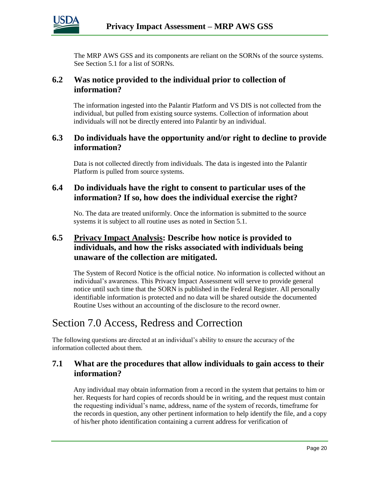

The MRP AWS GSS and its components are reliant on the SORNs of the source systems. See Section 5.1 for a list of SORNs.

#### **6.2 Was notice provided to the individual prior to collection of information?**

The information ingested into the Palantir Platform and VS DIS is not collected from the individual, but pulled from existing source systems. Collection of information about individuals will not be directly entered into Palantir by an individual.

#### **6.3 Do individuals have the opportunity and/or right to decline to provide information?**

Data is not collected directly from individuals. The data is ingested into the Palantir Platform is pulled from source systems.

#### **6.4 Do individuals have the right to consent to particular uses of the information? If so, how does the individual exercise the right?**

No. The data are treated uniformly. Once the information is submitted to the source systems it is subject to all routine uses as noted in Section 5.1.

#### **6.5 Privacy Impact Analysis: Describe how notice is provided to individuals, and how the risks associated with individuals being unaware of the collection are mitigated.**

The System of Record Notice is the official notice. No information is collected without an individual's awareness. This Privacy Impact Assessment will serve to provide general notice until such time that the SORN is published in the Federal Register. All personally identifiable information is protected and no data will be shared outside the documented Routine Uses without an accounting of the disclosure to the record owner.

# Section 7.0 Access, Redress and Correction

The following questions are directed at an individual's ability to ensure the accuracy of the information collected about them.

#### **7.1 What are the procedures that allow individuals to gain access to their information?**

Any individual may obtain information from a record in the system that pertains to him or her. Requests for hard copies of records should be in writing, and the request must contain the requesting individual's name, address, name of the system of records, timeframe for the records in question, any other pertinent information to help identify the file, and a copy of his/her photo identification containing a current address for verification of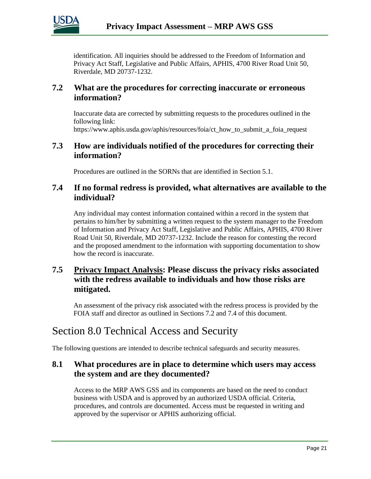

identification. All inquiries should be addressed to the Freedom of Information and Privacy Act Staff, Legislative and Public Affairs, APHIS, 4700 River Road Unit 50, Riverdale, MD 20737-1232.

#### **7.2 What are the procedures for correcting inaccurate or erroneous information?**

Inaccurate data are corrected by submitting requests to the procedures outlined in the following link:

https://www.aphis.usda.gov/aphis/resources/foia/ct\_how\_to\_submit\_a\_foia\_request

#### **7.3 How are individuals notified of the procedures for correcting their information?**

Procedures are outlined in the SORNs that are identified in Section 5.1.

#### **7.4 If no formal redress is provided, what alternatives are available to the individual?**

Any individual may contest information contained within a record in the system that pertains to him/her by submitting a written request to the system manager to the Freedom of Information and Privacy Act Staff, Legislative and Public Affairs, APHIS, 4700 River Road Unit 50, Riverdale, MD 20737-1232. Include the reason for contesting the record and the proposed amendment to the information with supporting documentation to show how the record is inaccurate.

### **7.5 Privacy Impact Analysis: Please discuss the privacy risks associated with the redress available to individuals and how those risks are mitigated.**

An assessment of the privacy risk associated with the redress process is provided by the FOIA staff and director as outlined in Sections 7.2 and 7.4 of this document.

# Section 8.0 Technical Access and Security

The following questions are intended to describe technical safeguards and security measures.

#### **8.1 What procedures are in place to determine which users may access the system and are they documented?**

Access to the MRP AWS GSS and its components are based on the need to conduct business with USDA and is approved by an authorized USDA official. Criteria, procedures, and controls are documented. Access must be requested in writing and approved by the supervisor or APHIS authorizing official.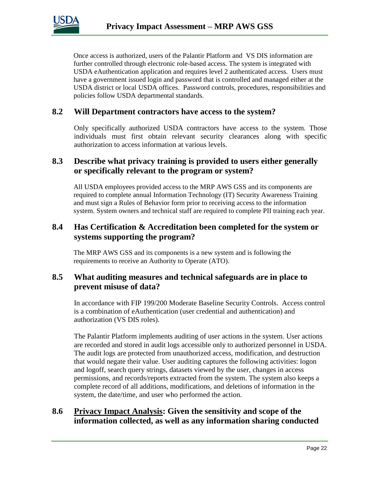

Once access is authorized, users of the Palantir Platform and VS DIS information are further controlled through electronic role-based access. The system is integrated with USDA eAuthentication application and requires level 2 authenticated access. Users must have a government issued login and password that is controlled and managed either at the USDA district or local USDA offices. Password controls, procedures, responsibilities and policies follow USDA departmental standards.

#### **8.2 Will Department contractors have access to the system?**

Only specifically authorized USDA contractors have access to the system. Those individuals must first obtain relevant security clearances along with specific authorization to access information at various levels.

#### **8.3 Describe what privacy training is provided to users either generally or specifically relevant to the program or system?**

All USDA employees provided access to the MRP AWS GSS and its components are required to complete annual Information Technology (IT) Security Awareness Training and must sign a Rules of Behavior form prior to receiving access to the information system. System owners and technical staff are required to complete PII training each year.

#### **8.4 Has Certification & Accreditation been completed for the system or systems supporting the program?**

The MRP AWS GSS and its components is a new system and is following the requirements to receive an Authority to Operate (ATO).

#### **8.5 What auditing measures and technical safeguards are in place to prevent misuse of data?**

In accordance with FIP 199/200 Moderate Baseline Security Controls. Access control is a combination of eAuthentication (user credential and authentication) and authorization (VS DIS roles).

The Palantir Platform implements auditing of user actions in the system. User actions are recorded and stored in audit logs accessible only to authorized personnel in USDA. The audit logs are protected from unauthorized access, modification, and destruction that would negate their value. User auditing captures the following activities: logon and logoff, search query strings, datasets viewed by the user, changes in access permissions, and records/reports extracted from the system. The system also keeps a complete record of all additions, modifications, and deletions of information in the system, the date/time, and user who performed the action.

#### **8.6 Privacy Impact Analysis: Given the sensitivity and scope of the information collected, as well as any information sharing conducted**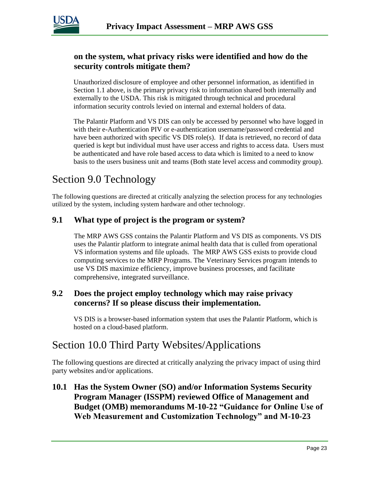

#### **on the system, what privacy risks were identified and how do the security controls mitigate them?**

Unauthorized disclosure of employee and other personnel information, as identified in Section 1.1 above, is the primary privacy risk to information shared both internally and externally to the USDA. This risk is mitigated through technical and procedural information security controls levied on internal and external holders of data.

The Palantir Platform and VS DIS can only be accessed by personnel who have logged in with their e-Authentication PIV or e-authentication username/password credential and have been authorized with specific VS DIS role(s). If data is retrieved, no record of data queried is kept but individual must have user access and rights to access data. Users must be authenticated and have role based access to data which is limited to a need to know basis to the users business unit and teams (Both state level access and commodity group).

# Section 9.0 Technology

The following questions are directed at critically analyzing the selection process for any technologies utilized by the system, including system hardware and other technology.

#### **9.1 What type of project is the program or system?**

The MRP AWS GSS contains the Palantir Platform and VS DIS as components. VS DIS uses the Palantir platform to integrate animal health data that is culled from operational VS information systems and file uploads. The MRP AWS GSS exists to provide cloud computing services to the MRP Programs. The Veterinary Services program intends to use VS DIS maximize efficiency, improve business processes, and facilitate comprehensive, integrated surveillance.

#### **9.2 Does the project employ technology which may raise privacy concerns? If so please discuss their implementation.**

VS DIS is a browser-based information system that uses the Palantir Platform, which is hosted on a cloud-based platform.

### Section 10.0 Third Party Websites/Applications

The following questions are directed at critically analyzing the privacy impact of using third party websites and/or applications.

**10.1 Has the System Owner (SO) and/or Information Systems Security Program Manager (ISSPM) reviewed Office of Management and Budget (OMB) memorandums M-10-22 "Guidance for Online Use of Web Measurement and Customization Technology" and M-10-23**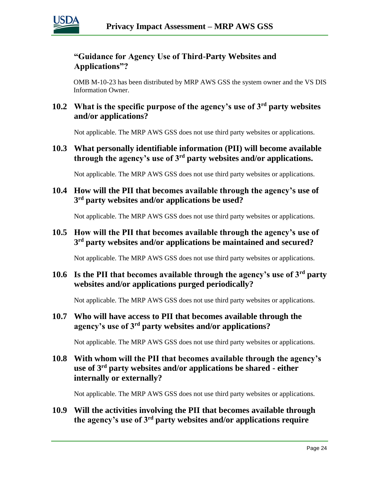

### **"Guidance for Agency Use of Third-Party Websites and Applications"?**

OMB M-10-23 has been distributed by MRP AWS GSS the system owner and the VS DIS Information Owner.

### **10.2 What is the specific purpose of the agency's use of 3rd party websites and/or applications?**

Not applicable. The MRP AWS GSS does not use third party websites or applications.

**10.3 What personally identifiable information (PII) will become available through the agency's use of 3rd party websites and/or applications.**

Not applicable. The MRP AWS GSS does not use third party websites or applications.

**10.4 How will the PII that becomes available through the agency's use of 3 rd party websites and/or applications be used?**

Not applicable. The MRP AWS GSS does not use third party websites or applications.

#### **10.5 How will the PII that becomes available through the agency's use of 3 rd party websites and/or applications be maintained and secured?**

Not applicable. The MRP AWS GSS does not use third party websites or applications.

#### **10.6 Is the PII that becomes available through the agency's use of 3rd party websites and/or applications purged periodically?**

Not applicable. The MRP AWS GSS does not use third party websites or applications.

### **10.7 Who will have access to PII that becomes available through the agency's use of 3rd party websites and/or applications?**

Not applicable. The MRP AWS GSS does not use third party websites or applications.

#### **10.8 With whom will the PII that becomes available through the agency's use of 3rd party websites and/or applications be shared - either internally or externally?**

Not applicable. The MRP AWS GSS does not use third party websites or applications.

**10.9 Will the activities involving the PII that becomes available through the agency's use of 3rd party websites and/or applications require**